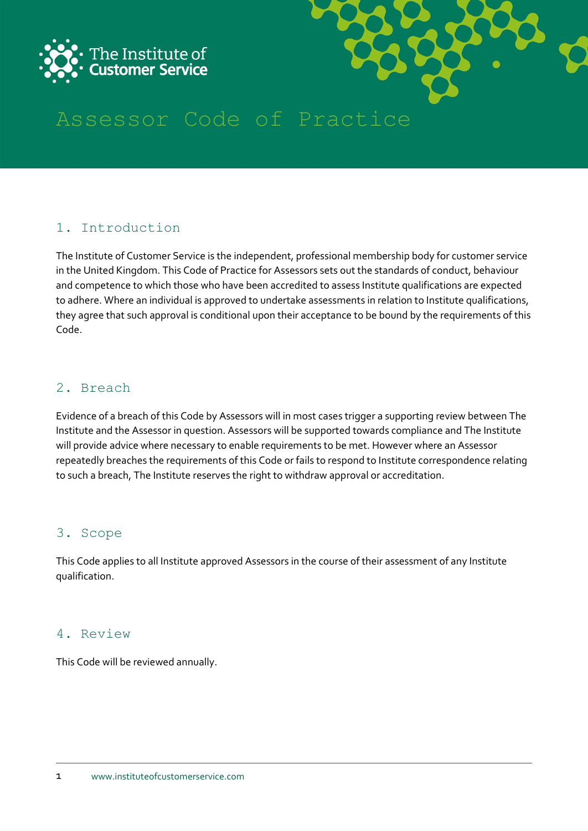



# Assessor Code of Practice

# 1. Introduction

The Institute of Customer Service is the independent, professional membership body for customer service in the United Kingdom. This Code of Practice for Assessors sets out the standards of conduct, behaviour and competence to which those who have been accredited to assess Institute qualifications are expected to adhere. Where an individual is approved to undertake assessments in relation to Institute qualifications, they agree that such approval is conditional upon their acceptance to be bound by the requirements of this Code.

# 2. Breach

Evidence of a breach of this Code by Assessors will in most cases trigger a supporting review between The Institute and the Assessor in question. Assessors will be supported towards compliance and The Institute will provide advice where necessary to enable requirements to be met. However where an Assessor repeatedly breaches the requirements of this Code or fails to respond to Institute correspondence relating to such a breach, The Institute reserves the right to withdraw approval or accreditation.

# 3. Scope

This Code applies to all Institute approved Assessors in the course of their assessment of any Institute qualification.

#### 4. Review

This Code will be reviewed annually.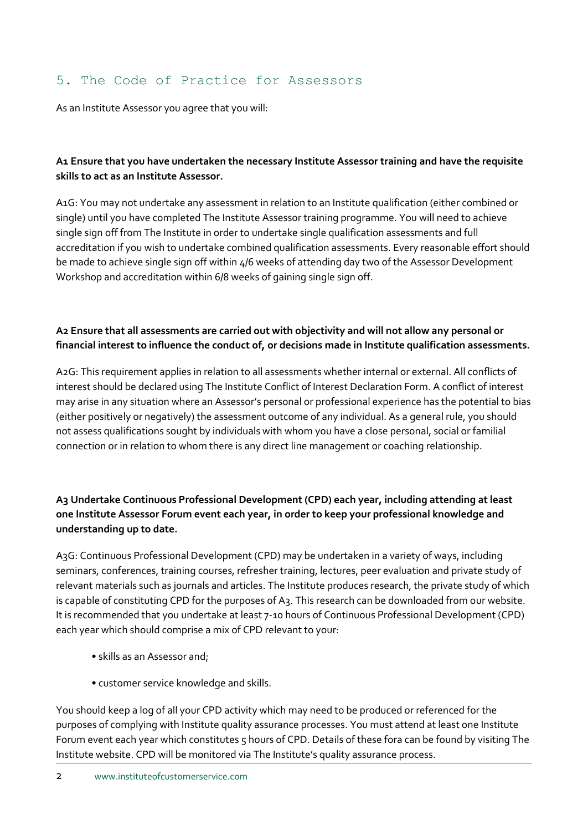# 5. The Code of Practice for Assessors

As an Institute Assessor you agree that you will:

#### **A1 Ensure that you have undertaken the necessary Institute Assessor training and have the requisite skills to act as an Institute Assessor.**

A1G: You may not undertake any assessment in relation to an Institute qualification (either combined or single) until you have completed The Institute Assessor training programme. You will need to achieve single sign off from The Institute in order to undertake single qualification assessments and full accreditation if you wish to undertake combined qualification assessments. Every reasonable effort should be made to achieve single sign off within 4/6 weeks of attending day two of the Assessor Development Workshop and accreditation within 6/8 weeks of gaining single sign off.

#### **A2 Ensure that all assessments are carried out with objectivity and will not allow any personal or financial interest to influence the conduct of, or decisions made in Institute qualification assessments.**

A2G: This requirement applies in relation to all assessments whether internal or external. All conflicts of interest should be declared using The Institute Conflict of Interest Declaration Form. A conflict of interest may arise in any situation where an Assessor's personal or professional experience has the potential to bias (either positively or negatively) the assessment outcome of any individual. As a general rule, you should not assess qualifications sought by individuals with whom you have a close personal, social or familial connection or in relation to whom there is any direct line management or coaching relationship.

### **A3 Undertake Continuous Professional Development (CPD) each year, including attending at least one Institute Assessor Forum event each year, in order to keep your professional knowledge and understanding up to date.**

A3G: Continuous Professional Development (CPD) may be undertaken in a variety of ways, including seminars, conferences, training courses, refresher training, lectures, peer evaluation and private study of relevant materials such as journals and articles. The Institute produces research, the private study of which is capable of constituting CPD for the purposes of A3. This research can be downloaded from our website. It is recommended that you undertake at least 7-10 hours of Continuous Professional Development (CPD) each year which should comprise a mix of CPD relevant to your:

- skills as an Assessor and;
- customer service knowledge and skills.

You should keep a log of all your CPD activity which may need to be produced or referenced for the purposes of complying with Institute quality assurance processes. You must attend at least one Institute Forum event each year which constitutes 5 hours of CPD. Details of these fora can be found by visiting The Institute website. CPD will be monitored via The Institute's quality assurance process.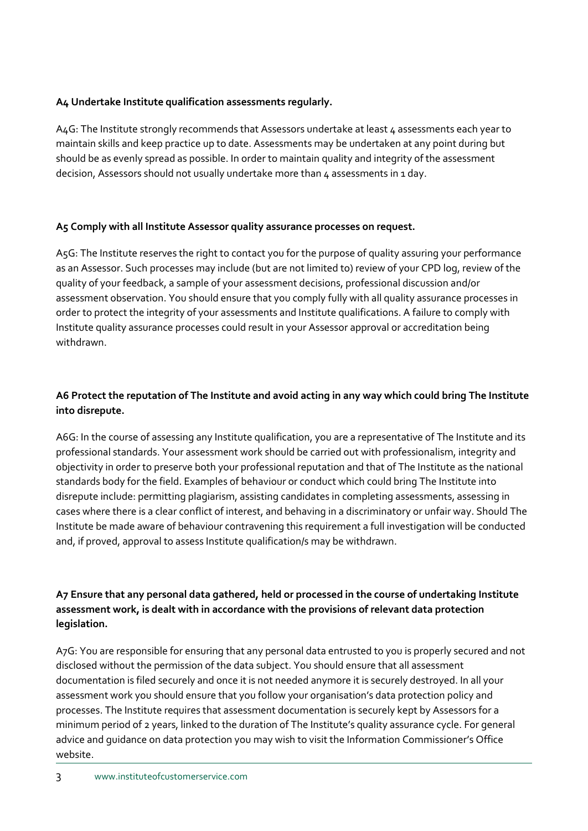#### **A4 Undertake Institute qualification assessments regularly.**

A4G: The Institute strongly recommends that Assessors undertake at least 4 assessments each year to maintain skills and keep practice up to date. Assessments may be undertaken at any point during but should be as evenly spread as possible. In order to maintain quality and integrity of the assessment decision, Assessors should not usually undertake more than 4 assessments in 1 day.

# **A5 Comply with all Institute Assessor quality assurance processes on request.**

A5G: The Institute reserves the right to contact you for the purpose of quality assuring your performance as an Assessor. Such processes may include (but are not limited to) review of your CPD log, review of the quality of your feedback, a sample of your assessment decisions, professional discussion and/or assessment observation. You should ensure that you comply fully with all quality assurance processes in order to protect the integrity of your assessments and Institute qualifications. A failure to comply with Institute quality assurance processes could result in your Assessor approval or accreditation being withdrawn.

# **A6 Protect the reputation of The Institute and avoid acting in any way which could bring The Institute into disrepute.**

A6G: In the course of assessing any Institute qualification, you are a representative of The Institute and its professional standards. Your assessment work should be carried out with professionalism, integrity and objectivity in order to preserve both your professional reputation and that of The Institute as the national standards body for the field. Examples of behaviour or conduct which could bring The Institute into disrepute include: permitting plagiarism, assisting candidates in completing assessments, assessing in cases where there is a clear conflict of interest, and behaving in a discriminatory or unfair way. Should The Institute be made aware of behaviour contravening this requirement a full investigation will be conducted and, if proved, approval to assess Institute qualification/s may be withdrawn.

### **A7 Ensure that any personal data gathered, held or processed in the course of undertaking Institute assessment work, is dealt with in accordance with the provisions of relevant data protection legislation.**

A7G: You are responsible for ensuring that any personal data entrusted to you is properly secured and not disclosed without the permission of the data subject. You should ensure that all assessment documentation is filed securely and once it is not needed anymore it is securely destroyed. In all your assessment work you should ensure that you follow your organisation's data protection policy and processes. The Institute requires that assessment documentation is securely kept by Assessors for a minimum period of 2 years, linked to the duration of The Institute's quality assurance cycle. For general advice and guidance on data protection you may wish to visit the Information Commissioner's Office website.